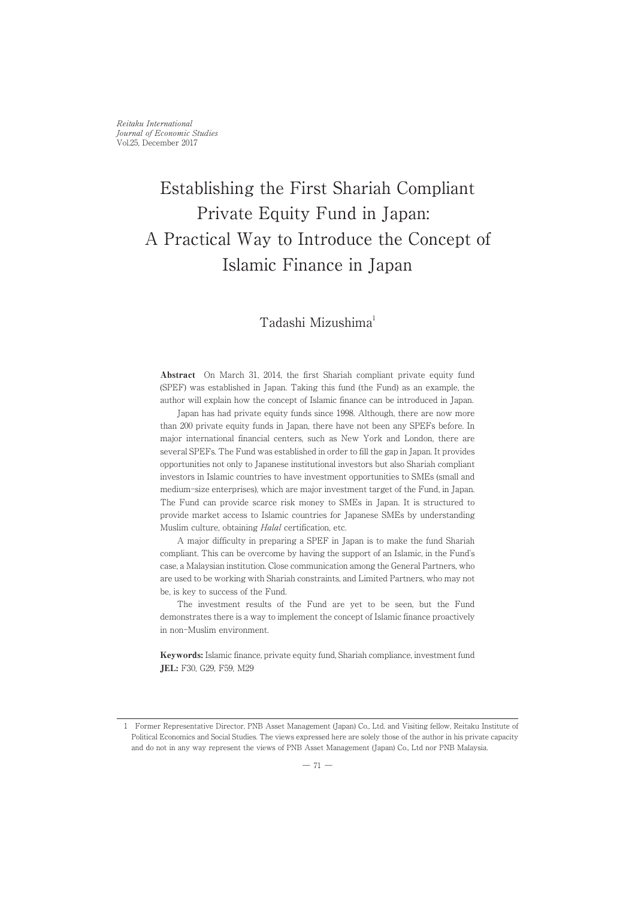Reitaku International Journal of Economic Studies Vol.25, December 2017

# Establishing the First Shariah Compliant Private Equity Fund in Japan: A Practical Way to Introduce the Concept of Islamic Finance in Japan

# Tadashi Mizushima1

Abstract On March 31, 2014, the first Shariah compliant private equity fund (SPEF) was established in Japan. Taking this fund (the Fund) as an example, the author will explain how the concept of Islamic finance can be introduced in Japan.

Japan has had private equity funds since 1998. Although, there are now more than 200 private equity funds in Japan, there have not been any SPEFs before. In major international financial centers, such as New York and London, there are several SPEFs. The Fund was established in order to fill the gap in Japan. It provides opportunities not only to Japanese institutional investors but also Shariah compliant investors in Islamic countries to have investment opportunities to SMEs (small and medium-size enterprises), which are major investment target of the Fund, in Japan. The Fund can provide scarce risk money to SMEs in Japan. It is structured to provide market access to Islamic countries for Japanese SMEs by understanding Muslim culture, obtaining Halal certification, etc.

A major difficulty in preparing a SPEF in Japan is to make the fund Shariah compliant. This can be overcome by having the support of an Islamic, in the Fund's case, a Malaysian institution. Close communication among the General Partners, who are used to be working with Shariah constraints, and Limited Partners, who may not be, is key to success of the Fund.

The investment results of the Fund are yet to be seen, but the Fund demonstrates there is a way to implement the concept of Islamic finance proactively in non-Muslim environment.

Keywords: Islamic finance, private equity fund, Shariah compliance, investment fund JEL: F30, G29, F59, M29

<sup>1</sup> Former Representative Director, PNB Asset Management (Japan) Co., Ltd. and Visiting fellow, Reitaku Institute of Political Economics and Social Studies. The views expressed here are solely those of the author in his private capacity and do not in any way represent the views of PNB Asset Management (Japan) Co., Ltd nor PNB Malaysia.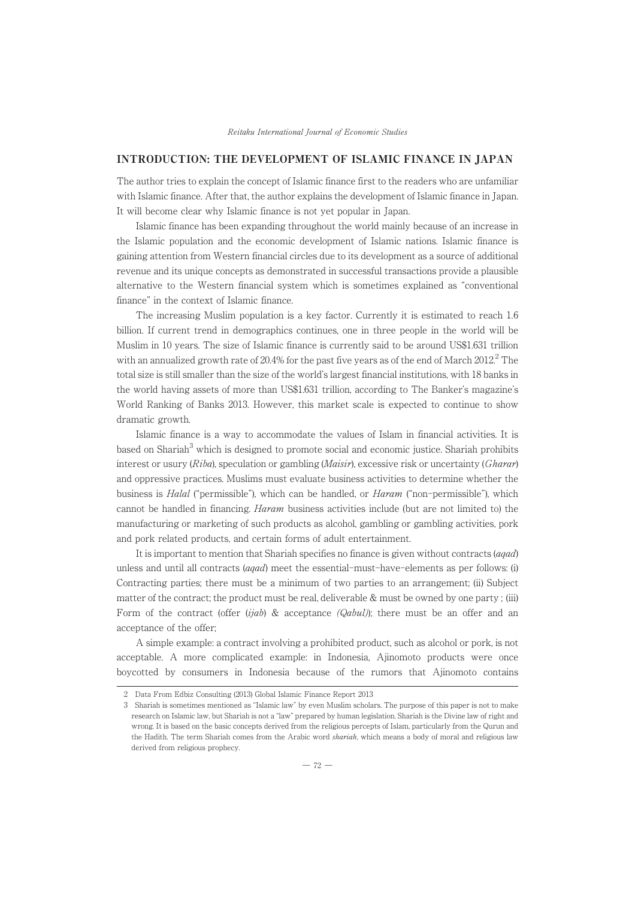# INTRODUCTION: THE DEVELOPMENT OF ISLAMIC FINANCE IN JAPAN

The author tries to explain the concept of Islamic finance first to the readers who are unfamiliar with Islamic finance. After that, the author explains the development of Islamic finance in Japan. It will become clear why Islamic finance is not yet popular in Japan.

Islamic finance has been expanding throughout the world mainly because of an increase in the Islamic population and the economic development of Islamic nations. Islamic finance is gaining attention from Western financial circles due to its development as a source of additional revenue and its unique concepts as demonstrated in successful transactions provide a plausible alternative to the Western financial system which is sometimes explained as "conventional finance" in the context of Islamic finance.

The increasing Muslim population is a key factor. Currently it is estimated to reach 1.6 billion. If current trend in demographics continues, one in three people in the world will be Muslim in 10 years. The size of Islamic finance is currently said to be around US\$1.631 trillion with an annualized growth rate of 20.4% for the past five years as of the end of March  $2012<sup>2</sup>$  The total size is still smaller than the size of the world's largest financial institutions, with 18 banks in the world having assets of more than US\$1.631 trillion, according to The Banker's magazine's World Ranking of Banks 2013. However, this market scale is expected to continue to show dramatic growth.

Islamic finance is a way to accommodate the values of Islam in financial activities. It is based on Shariah<sup>3</sup> which is designed to promote social and economic justice. Shariah prohibits interest or usury  $(Riba)$ , speculation or gambling  $(Maisir)$ , excessive risk or uncertainty  $(Gharar)$ and oppressive practices. Muslims must evaluate business activities to determine whether the business is *Halal* ("permissible"), which can be handled, or *Haram* ("non-permissible"), which cannot be handled in financing. Haram business activities include (but are not limited to) the manufacturing or marketing of such products as alcohol, gambling or gambling activities, pork and pork related products, and certain forms of adult entertainment.

It is important to mention that Shariah specifies no finance is given without contracts (aqad) unless and until all contracts (aqad) meet the essential-must-have-elements as per follows: (i) Contracting parties; there must be a minimum of two parties to an arrangement; (ii) Subject matter of the contract; the product must be real, deliverable & must be owned by one party ; (iii) Form of the contract (offer (ijab) & acceptance ( $\langle Qabu\rangle$ ); there must be an offer and an acceptance of the offer;

A simple example: a contract involving a prohibited product, such as alcohol or pork, is not acceptable. A more complicated example: in Indonesia, Ajinomoto products were once boycotted by consumers in Indonesia because of the rumors that Ajinomoto contains

<sup>2</sup> Data From Edbiz Consulting (2013) Global Islamic Finance Report 2013

<sup>3</sup> Shariah is sometimes mentioned as "Islamic law" by even Muslim scholars. The purpose of this paper is not to make research on Islamic law, but Shariah is not a "law" prepared by human legislation. Shariah is the Divine law of right and wrong. It is based on the basic concepts derived from the religious percepts of Islam, particularly from the Qurun and the Hadith. The term Shariah comes from the Arabic word shariah, which means a body of moral and religious law derived from religious prophecy.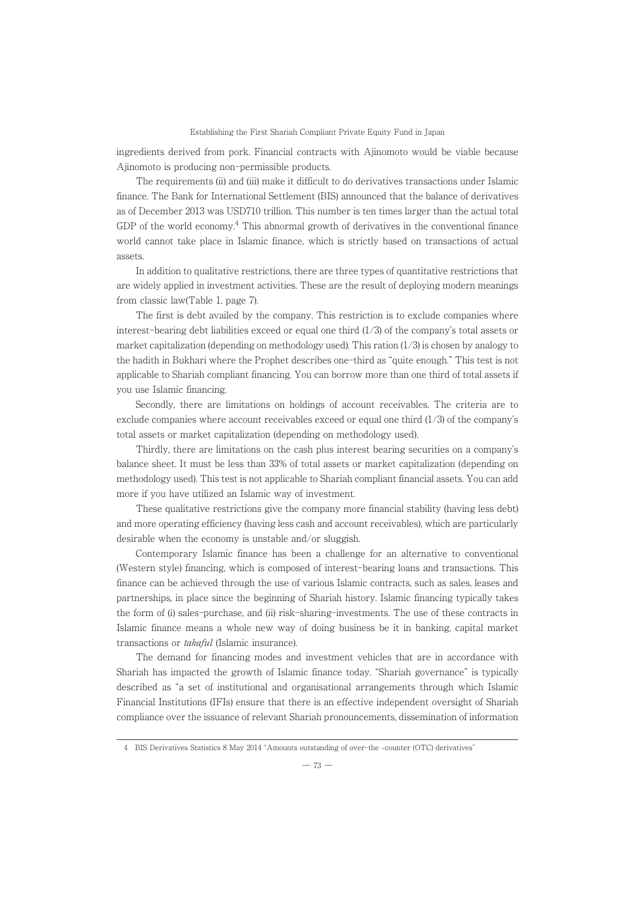ingredients derived from pork. Financial contracts with Ajinomoto would be viable because Ajinomoto is producing non-permissible products.

The requirements (ii) and (iii) make it difficult to do derivatives transactions under Islamic finance. The Bank for International Settlement (BIS) announced that the balance of derivatives as of December 2013 was USD710 trillion. This number is ten times larger than the actual total GDP of the world economy. $4$  This abnormal growth of derivatives in the conventional finance world cannot take place in Islamic finance, which is strictly based on transactions of actual assets.

In addition to qualitative restrictions, there are three types of quantitative restrictions that are widely applied in investment activities. These are the result of deploying modern meanings from classic law(Table 1, page 7).

The first is debt availed by the company. This restriction is to exclude companies where interest-bearing debt liabilities exceed or equal one third  $(1/3)$  of the company's total assets or market capitalization (depending on methodology used). This ration  $(1/3)$  is chosen by analogy to the hadith in Bukhari where the Prophet describes one-third as "quite enough." This test is not applicable to Shariah compliant financing. You can borrow more than one third of total assets if you use Islamic financing.

Secondly, there are limitations on holdings of account receivables. The criteria are to exclude companies where account receivables exceed or equal one third  $(1/3)$  of the company's total assets or market capitalization (depending on methodology used).

Thirdly, there are limitations on the cash plus interest bearing securities on a company's balance sheet. It must be less than 33% of total assets or market capitalization (depending on methodology used). This test is not applicable to Shariah compliant financial assets. You can add more if you have utilized an Islamic way of investment.

These qualitative restrictions give the company more financial stability (having less debt) and more operating efficiency (having less cash and account receivables), which are particularly desirable when the economy is unstable and/or sluggish.

Contemporary Islamic finance has been a challenge for an alternative to conventional (Western style) financing, which is composed of interest-bearing loans and transactions. This finance can be achieved through the use of various Islamic contracts, such as sales, leases and partnerships, in place since the beginning of Shariah history. Islamic financing typically takes the form of (i) sales-purchase, and (ii) risk-sharing-investments. The use of these contracts in Islamic finance means a whole new way of doing business be it in banking, capital market transactions or takaful (Islamic insurance).

The demand for financing modes and investment vehicles that are in accordance with Shariah has impacted the growth of Islamic finance today. "Shariah governance" is typically described as "a set of institutional and organisational arrangements through which Islamic Financial Institutions (IFIs) ensure that there is an effective independent oversight of Shariah compliance over the issuance of relevant Shariah pronouncements, dissemination of information

<sup>4</sup> BIS Derivatives Statistics 8 May 2014 "Amounts outstanding of over-the -counter (OTC) derivatives"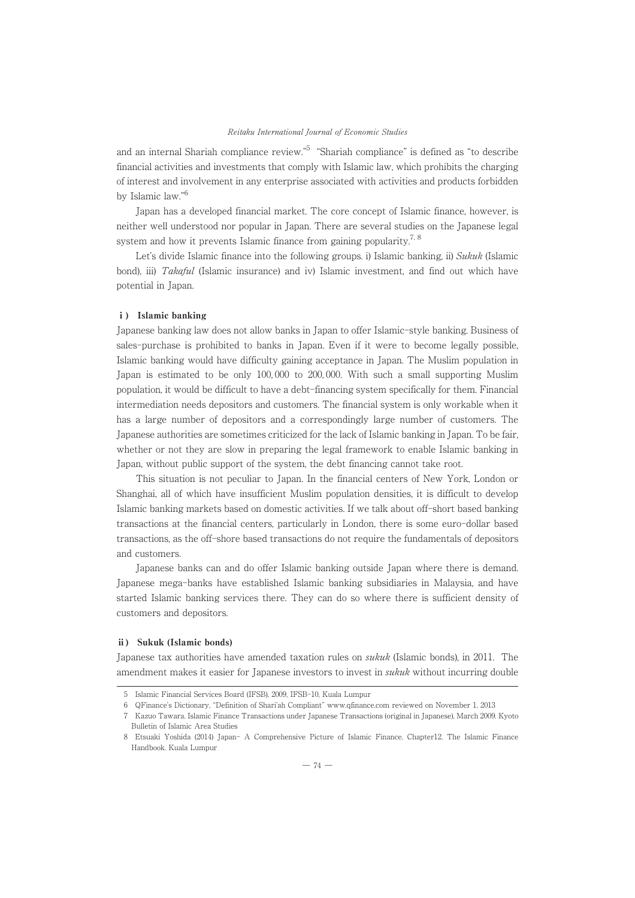and an internal Shariah compliance review."5 "Shariah compliance" is defined as "to describe financial activities and investments that comply with Islamic law, which prohibits the charging of interest and involvement in any enterprise associated with activities and products forbidden by Islamic law."6

Japan has a developed financial market. The core concept of Islamic finance, however, is neither well understood nor popular in Japan. There are several studies on the Japanese legal system and how it prevents Islamic finance from gaining popularity.<sup>7, 8</sup>

Let's divide Islamic finance into the following groups. i) Islamic banking, ii) Sukuk (Islamic bond), iii) *Takaful* (Islamic insurance) and iv) Islamic investment, and find out which have potential in Japan.

#### i) Islamic banking

Japanese banking law does not allow banks in Japan to offer Islamic-style banking. Business of sales-purchase is prohibited to banks in Japan. Even if it were to become legally possible, Islamic banking would have difficulty gaining acceptance in Japan. The Muslim population in Japan is estimated to be only 100, 000 to 200, 000. With such a small supporting Muslim population, it would be difficult to have a debt-financing system specifically for them. Financial intermediation needs depositors and customers. The financial system is only workable when it has a large number of depositors and a correspondingly large number of customers. The Japanese authorities are sometimes criticized for the lack of Islamic banking in Japan. To be fair, whether or not they are slow in preparing the legal framework to enable Islamic banking in Japan, without public support of the system, the debt financing cannot take root.

This situation is not peculiar to Japan. In the financial centers of New York, London or Shanghai, all of which have insufficient Muslim population densities, it is difficult to develop Islamic banking markets based on domestic activities. If we talk about off-short based banking transactions at the financial centers, particularly in London, there is some euro-dollar based transactions, as the off-shore based transactions do not require the fundamentals of depositors and customers.

Japanese banks can and do offer Islamic banking outside Japan where there is demand. Japanese mega-banks have established Islamic banking subsidiaries in Malaysia, and have started Islamic banking services there. They can do so where there is sufficient density of customers and depositors.

#### ⅱ) Sukuk (Islamic bonds)

Japanese tax authorities have amended taxation rules on *sukuk* (Islamic bonds), in 2011. The amendment makes it easier for Japanese investors to invest in *sukuk* without incurring double

<sup>5</sup> Islamic Financial Services Board (IFSB), 2009, IFSB-10, Kuala Lumpur

<sup>6</sup> QFinance's Dictionary, "Definition of Shari'ah Compliant" www.qfinance.com reviewed on November 1, 2013

<sup>7</sup> Kazuo Tawara. Islamic Finance Transactions under Japanese Transactions (original in Japanese), March 2009. Kyoto Bulletin of Islamic Area Studies

<sup>8</sup> Etsuaki Yoshida (2014) Japan- A Comprehensive Picture of Islamic Finance. Chapter12. The Islamic Finance Handbook. Kuala Lumpur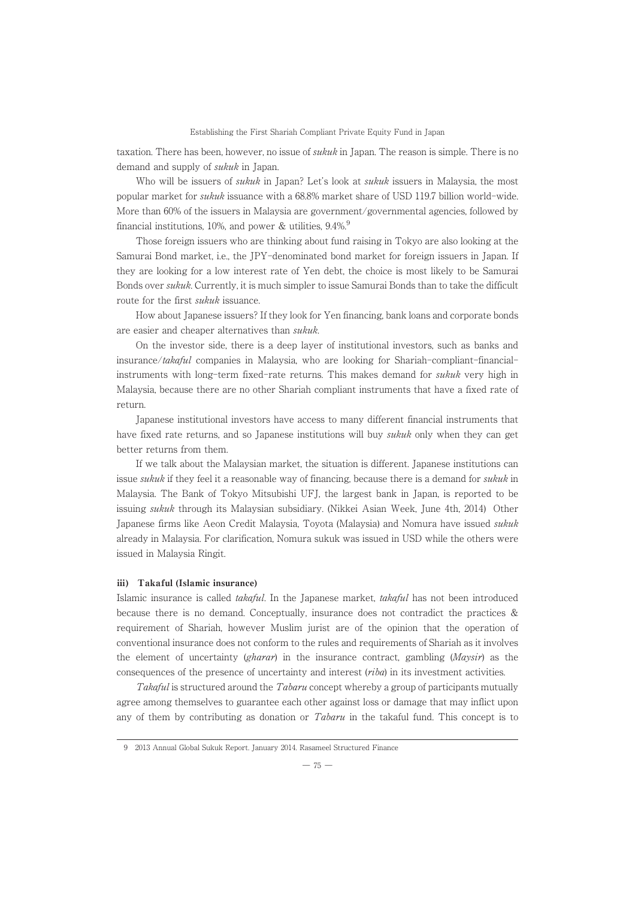taxation. There has been, however, no issue of *sukuk* in Japan. The reason is simple. There is no demand and supply of *sukuk* in Japan.

Who will be issuers of *sukuk* in Japan? Let's look at *sukuk* issuers in Malaysia, the most popular market for sukuk issuance with a 68.8% market share of USD 119.7 billion world-wide. More than 60% of the issuers in Malaysia are government/governmental agencies, followed by financial institutions, 10%, and power & utilities,  $9.4\%$ .

Those foreign issuers who are thinking about fund raising in Tokyo are also looking at the Samurai Bond market, i.e., the JPY-denominated bond market for foreign issuers in Japan. If they are looking for a low interest rate of Yen debt, the choice is most likely to be Samurai Bonds over sukuk. Currently, it is much simpler to issue Samurai Bonds than to take the difficult route for the first *sukuk* issuance.

How about Japanese issuers? If they look for Yen financing, bank loans and corporate bonds are easier and cheaper alternatives than sukuk.

On the investor side, there is a deep layer of institutional investors, such as banks and insurance/takaful companies in Malaysia, who are looking for Shariah-compliant-financialinstruments with long-term fixed-rate returns. This makes demand for *sukuk* very high in Malaysia, because there are no other Shariah compliant instruments that have a fixed rate of return.

Japanese institutional investors have access to many different financial instruments that have fixed rate returns, and so Japanese institutions will buy sukuk only when they can get better returns from them.

If we talk about the Malaysian market, the situation is different. Japanese institutions can issue *sukuk* if they feel it a reasonable way of financing, because there is a demand for *sukuk* in Malaysia. The Bank of Tokyo Mitsubishi UFJ, the largest bank in Japan, is reported to be issuing sukuk through its Malaysian subsidiary. (Nikkei Asian Week, June 4th, 2014) Other Japanese firms like Aeon Credit Malaysia, Toyota (Malaysia) and Nomura have issued sukuk already in Malaysia. For clarification, Nomura sukuk was issued in USD while the others were issued in Malaysia Ringit.

#### ⅲ) Takaful (Islamic insurance)

Islamic insurance is called takaful. In the Japanese market, takaful has not been introduced because there is no demand. Conceptually, insurance does not contradict the practices & requirement of Shariah, however Muslim jurist are of the opinion that the operation of conventional insurance does not conform to the rules and requirements of Shariah as it involves the element of uncertainty (gharar) in the insurance contract, gambling  $(Maysir)$  as the consequences of the presence of uncertainty and interest (riba) in its investment activities.

Takaful is structured around the Tabaru concept whereby a group of participants mutually agree among themselves to guarantee each other against loss or damage that may inflict upon any of them by contributing as donation or  $Tabaru$  in the takaful fund. This concept is to

<sup>9 2013</sup> Annual Global Sukuk Report. January 2014. Rasameel Structured Finance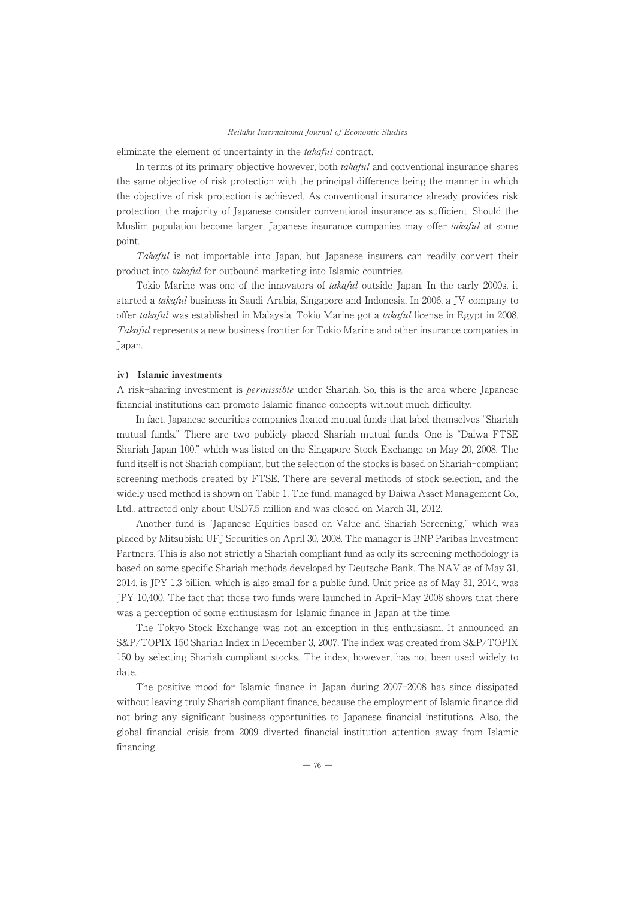eliminate the element of uncertainty in the takaful contract.

In terms of its primary objective however, both *takaful* and conventional insurance shares the same objective of risk protection with the principal difference being the manner in which the objective of risk protection is achieved. As conventional insurance already provides risk protection, the majority of Japanese consider conventional insurance as sufficient. Should the Muslim population become larger, Japanese insurance companies may offer takaful at some point.

Takaful is not importable into Japan, but Japanese insurers can readily convert their product into takaful for outbound marketing into Islamic countries.

Tokio Marine was one of the innovators of takaful outside Japan. In the early 2000s, it started a takaful business in Saudi Arabia, Singapore and Indonesia. In 2006, a JV company to offer takaful was established in Malaysia. Tokio Marine got a takaful license in Egypt in 2008. Takaful represents a new business frontier for Tokio Marine and other insurance companies in Japan.

#### ⅳ) Islamic investments

A risk-sharing investment is permissible under Shariah. So, this is the area where Japanese financial institutions can promote Islamic finance concepts without much difficulty.

In fact, Japanese securities companies floated mutual funds that label themselves "Shariah mutual funds." There are two publicly placed Shariah mutual funds. One is "Daiwa FTSE Shariah Japan 100," which was listed on the Singapore Stock Exchange on May 20, 2008. The fund itself is not Shariah compliant, but the selection of the stocks is based on Shariah-compliant screening methods created by FTSE. There are several methods of stock selection, and the widely used method is shown on Table 1. The fund, managed by Daiwa Asset Management Co., Ltd., attracted only about USD7.5 million and was closed on March 31, 2012.

Another fund is "Japanese Equities based on Value and Shariah Screening," which was placed by Mitsubishi UFJ Securities on April 30, 2008. The manager is BNP Paribas Investment Partners. This is also not strictly a Shariah compliant fund as only its screening methodology is based on some specific Shariah methods developed by Deutsche Bank. The NAV as of May 31, 2014, is JPY 1.3 billion, which is also small for a public fund. Unit price as of May 31, 2014, was JPY 10,400. The fact that those two funds were launched in April-May 2008 shows that there was a perception of some enthusiasm for Islamic finance in Japan at the time.

The Tokyo Stock Exchange was not an exception in this enthusiasm. It announced an S&P/TOPIX 150 Shariah Index in December 3, 2007. The index was created from S&P/TOPIX 150 by selecting Shariah compliant stocks. The index, however, has not been used widely to date.

The positive mood for Islamic finance in Japan during 2007-2008 has since dissipated without leaving truly Shariah compliant finance, because the employment of Islamic finance did not bring any significant business opportunities to Japanese financial institutions. Also, the global financial crisis from 2009 diverted financial institution attention away from Islamic financing.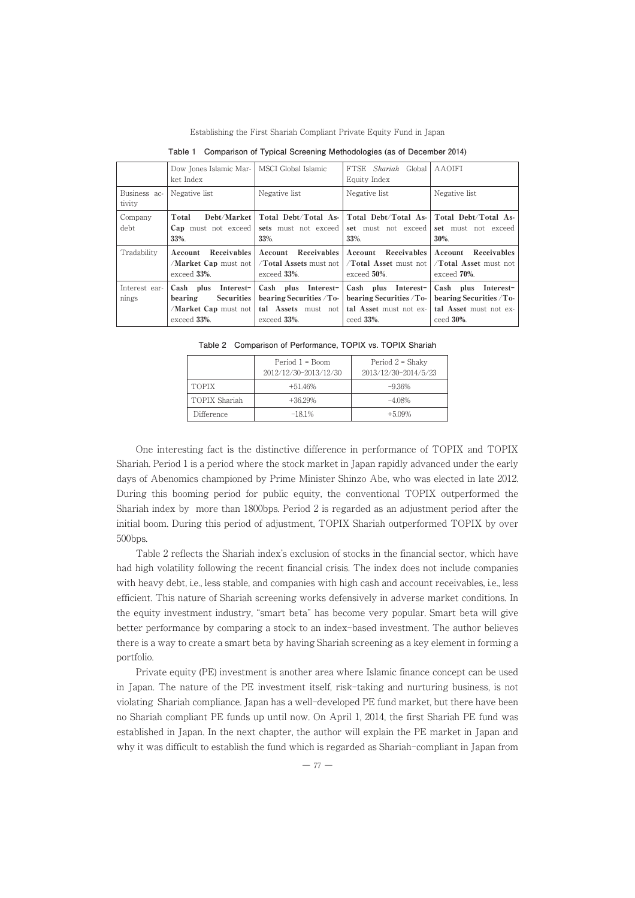|                        | Dow Jones Islamic Mar-<br>ket Index                                                      | MSCI Global Islamic                                                                   | FTSE Shariah Global<br>Equity Index                                                        | AAOIFI                                                                                     |
|------------------------|------------------------------------------------------------------------------------------|---------------------------------------------------------------------------------------|--------------------------------------------------------------------------------------------|--------------------------------------------------------------------------------------------|
| Business ac-<br>tivity | Negative list                                                                            | Negative list                                                                         | Negative list                                                                              | Negative list                                                                              |
| Company<br>debt        | Debt/Market  <br>Total<br><b>Cap</b> must not exceed<br>33%.                             | Total Debt/Total As-<br>sets must not exceed<br>33%.                                  | set must not exceed<br>33%.                                                                | Total Debt/Total As-   Total Debt/Total As-<br>set must not exceed<br>30%.                 |
| Tradability            | <b>Receivables</b><br>Account<br>/Market Cap must not  <br>exceed 33%.                   | Receivables<br>Account<br>Total Assets must not<br>exceed 33%.                        | Receivables<br>Account<br>Total Asset must not<br>exceed 50%.                              | Receivables<br>Account<br>Total Asset must not<br>exceed 70%.                              |
| Interest ear-<br>nings | Cash plus<br>Interest-<br>Securities<br>bearing<br>/Market Cap must not  <br>exceed 33%. | Cash plus Interest-<br>bearing Securities / To-<br>tal Assets must not<br>exceed 33%. | Cash plus Interest-<br>bearing Securities / To-<br>tal Asset must not ex-<br>ceed $33\%$ . | Cash plus Interest-<br>bearing Securities / To-<br>tal Asset must not ex-<br>ceed $30\%$ . |

Establishing the First Shariah Compliant Private Equity Fund in Japan

**Table 1 Comparison of Typical Screening Methodologies (as of December 2014)**

Table 2 Comparison of Performance, TOPIX vs. TOPIX Shariah

|               | Period 1 = Boom<br>2012/12/30-2013/12/30 | Period $2 = Shaky$<br>2013/12/30-2014/5/23 |
|---------------|------------------------------------------|--------------------------------------------|
| <b>TOPIX</b>  | $+51.46%$                                | $-9.36\%$                                  |
| TOPIX Shariah | $+36.29%$                                | $-4.08\%$                                  |
| Difference    | $-181%$                                  | $+509%$                                    |

One interesting fact is the distinctive difference in performance of TOPIX and TOPIX Shariah. Period 1 is a period where the stock market in Japan rapidly advanced under the early days of Abenomics championed by Prime Minister Shinzo Abe, who was elected in late 2012. During this booming period for public equity, the conventional TOPIX outperformed the Shariah index by more than 1800bps. Period 2 is regarded as an adjustment period after the initial boom. During this period of adjustment, TOPIX Shariah outperformed TOPIX by over 500bps.

Table 2 reflects the Shariah index's exclusion of stocks in the financial sector, which have had high volatility following the recent financial crisis. The index does not include companies with heavy debt, i.e., less stable, and companies with high cash and account receivables, i.e., less efficient. This nature of Shariah screening works defensively in adverse market conditions. In the equity investment industry, "smart beta" has become very popular. Smart beta will give better performance by comparing a stock to an index-based investment. The author believes there is a way to create a smart beta by having Shariah screening as a key element in forming a portfolio.

Private equity (PE) investment is another area where Islamic finance concept can be used in Japan. The nature of the PE investment itself, risk-taking and nurturing business, is not violating Shariah compliance. Japan has a well-developed PE fund market, but there have been no Shariah compliant PE funds up until now. On April 1, 2014, the first Shariah PE fund was established in Japan. In the next chapter, the author will explain the PEmarket in Japan and why it was difficult to establish the fund which is regarded as Shariah-compliant in Japan from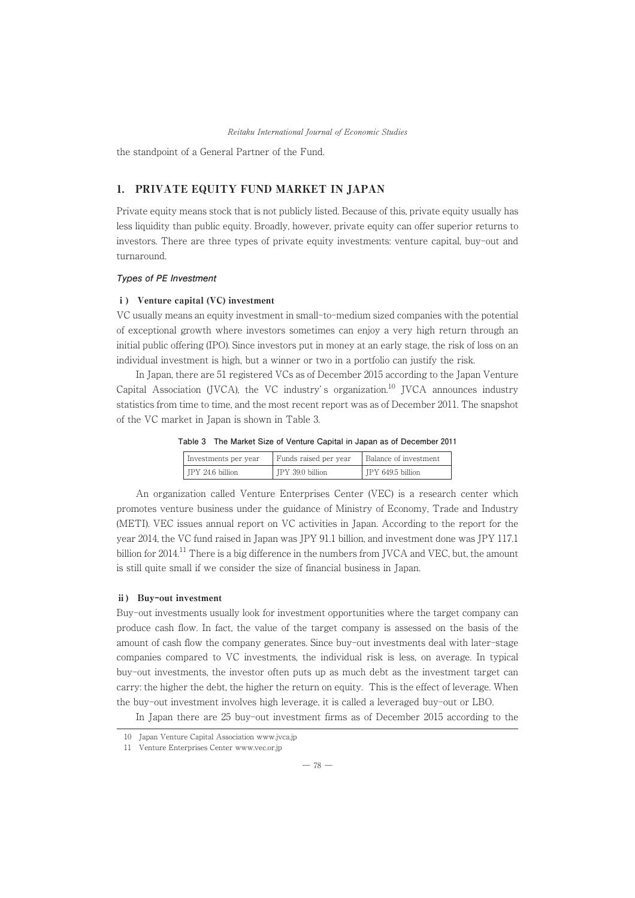the standpoint of a General Partner of the Fund.

# 1. PRIVATE EQUITY FUND MARKET IN JAPAN

Private equity means stock that is not publicly listed. Because of this, private equity usually has less liquidity than public equity. Broadly, however, private equity can offer superior returns to investors. There are three types of private equity investments: venture capital, buy-out and turnaround.

#### **Types of PE Investment**

## ⅰ) Venture capital (VC) investment

VC usually means an equity investment in small-to-medium sized companies with the potential of exceptional growth where investors sometimes can enjoy a very high return through an initial public offering (IPO). Since investors put in money at an early stage, the risk of loss on an individual investment is high, but a winner or two in a portfolio can justify the risk.

In Japan, there are 51 registered VCs as of December 2015 according to the Japan Venture Capital Association (JVCA), the VC industry's organization.<sup>10</sup> JVCA announces industry statistics from time to time, and the most recent report was as of December 2011. The snapshot of the VC market in Japan is shown in Table 3.

| Table 3 The Market Size of Venture Capital in Japan as of December 2011 |  |
|-------------------------------------------------------------------------|--|
|-------------------------------------------------------------------------|--|

| Investments per year | Funds raised per year | Balance of investment |
|----------------------|-----------------------|-----------------------|
| IPY 24.6 billion     | JPY 39.0 billion      | JPY 649.5 billion     |

An organization called Venture Enterprises Center (VEC) is a research center which promotes venture business under the guidance of Ministry of Economy, Trade and Industry (METI). VEC issues annual report on VC activities in Japan. According to the report for the year 2014, the VC fund raised in Japan was JPY 91.1 billion, and investment done was JPY 117.1 billion for  $2014$ .<sup>11</sup> There is a big difference in the numbers from JVCA and VEC, but, the amount is still quite small if we consider the size of financial business in Japan.

#### ⅱ) Buy-out investment

Buy-out investments usually look for investment opportunities where the target company can produce cash flow. In fact, the value of the target company is assessed on the basis of the amount of cash flow the company generates. Since buy-out investments deal with later-stage companies compared to VC investments, the individual risk is less, on average. In typical buy-out investments, the investor often puts up as much debt as the investment target can carry: the higher the debt, the higher the return on equity. This is the effect of leverage. When the buy-out investment involves high leverage, it is called a leveraged buy-out or LBO.

In Japan there are 25 buy-out investment firms as of December 2015 according to the

<sup>10</sup> Japan Venture Capital Association www.jvca.jp

<sup>11</sup> Venture Enterprises Center www.vec.or.jp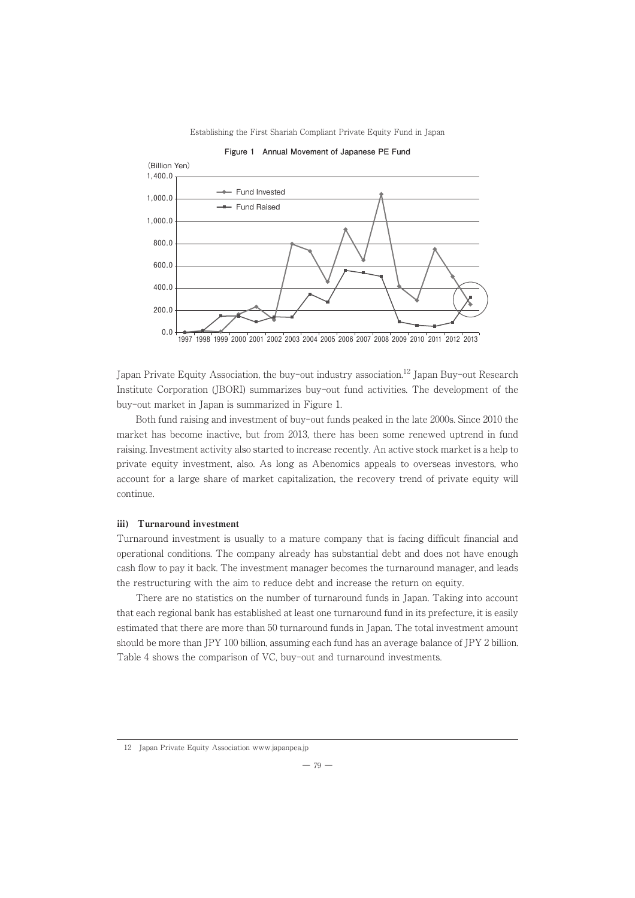

Japan Private Equity Association, the buy-out industry association.<sup>12</sup> Japan Buy-out Research Institute Corporation (JBORI) summarizes buy-out fund activities. The development of the buy-out market in Japan is summarized in Figure 1.

Both fund raising and investment of buy-out funds peaked in the late 2000s. Since 2010 the market has become inactive, but from 2013, there has been some renewed uptrend in fund raising. Investment activity also started to increase recently. An active stock market is a help to private equity investment, also. As long as Abenomics appeals to overseas investors, who account for a large share of market capitalization, the recovery trend of private equity will continue.

# ⅲ) Turnaround investment

Turnaround investment is usually to a mature company that is facing difficult financial and operational conditions. The company already has substantial debt and does not have enough cash flow to pay it back. The investment manager becomes the turnaround manager, and leads the restructuring with the aim to reduce debt and increase the return on equity.

There are no statistics on the number of turnaround funds in Japan. Taking into account that each regional bank has established at least one turnaround fund in its prefecture, it is easily estimated that there are more than 50 turnaround funds in Japan. The total investment amount should be more than JPY 100 billion, assuming each fund has an average balance of JPY 2 billion. Table 4 shows the comparison of VC, buy-out and turnaround investments.

 $-79-$ 

<sup>12</sup> Japan Private Equity Association www.japanpea.jp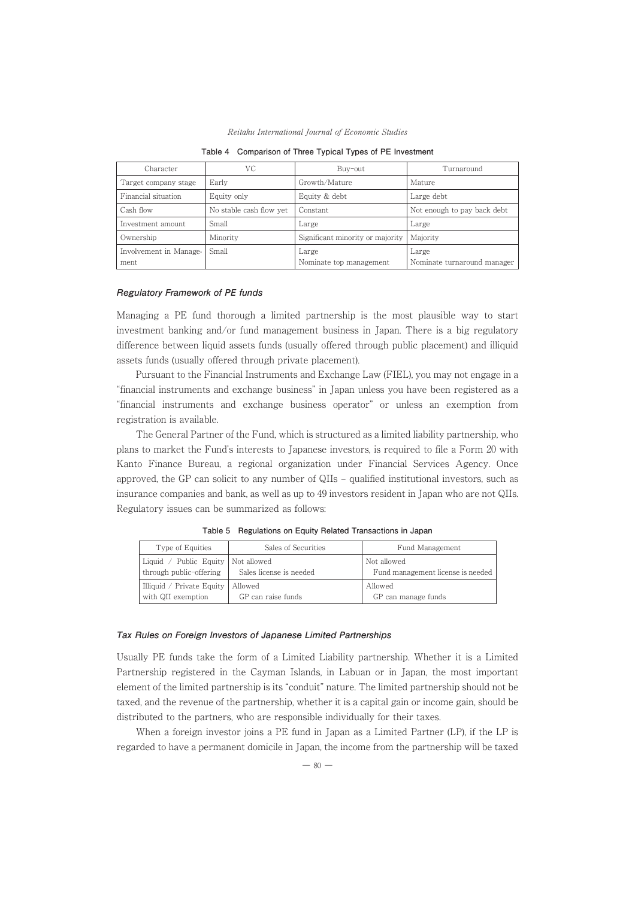| Reitaku International Journal of Economic Studies |  |
|---------------------------------------------------|--|
|---------------------------------------------------|--|

| Character              | VC                      | Buy-out                          | Turnaround                  |
|------------------------|-------------------------|----------------------------------|-----------------------------|
| Target company stage   | Early                   | Growth/Mature                    | Mature                      |
| Financial situation    | Equity only             | Equity & debt                    | Large debt                  |
| Cash flow              | No stable cash flow yet | Constant                         | Not enough to pay back debt |
| Investment amount      | Small                   | Large                            | Large                       |
| Ownership              | Minority                | Significant minority or majority | Majority                    |
| Involvement in Manage- | Small                   | Large                            | Large                       |
| ment                   |                         | Nominate top management          | Nominate turnaround manager |

**Table 4 Comparison of Three Typical Types of PE Investment**

#### **Regulatory Framework of PE funds**

Managing a PE fund thorough a limited partnership is the most plausible way to start investment banking and/or fund management business in Japan. There is a big regulatory difference between liquid assets funds (usually offered through public placement) and illiquid assets funds (usually offered through private placement).

Pursuant to the Financial Instruments and Exchange Law (FIEL), you may not engage in a "financial instruments and exchange business" in Japan unless you have been registered as a "financial instruments and exchange business operator" or unless an exemption from registration is available.

The General Partner of the Fund, which is structured as a limited liability partnership, who plans to market the Fund's interests to Japanese investors, is required to file a Form 20 with Kanto Finance Bureau, a regional organization under Financial Services Agency. Once approved, the GP can solicit to any number of QIIs – qualified institutional investors, such as insurance companies and bank, as well as up to 49 investors resident in Japan who are not QIIs. Regulatory issues can be summarized as follows:

| Type of Equities                                                | Sales of Securities     | Fund Management                                  |
|-----------------------------------------------------------------|-------------------------|--------------------------------------------------|
| Liquid / Public Equity   Not allowed<br>through public-offering | Sales license is needed | Not allowed<br>Fund management license is needed |
| Illiquid / Private Equity   Allowed<br>with QII exemption       | GP can raise funds      | Allowed<br>GP can manage funds                   |

**Table 5 Regulations on Equity Related Transactions in Japan**

#### **Tax Rules on Foreign Investors of Japanese Limited Partnerships**

Usually PEfunds take the form of a Limited Liability partnership. Whether it is a Limited Partnership registered in the Cayman Islands, in Labuan or in Japan, the most important element of the limited partnership is its "conduit" nature. The limited partnership should not be taxed, and the revenue of the partnership, whether it is a capital gain or income gain, should be distributed to the partners, who are responsible individually for their taxes.

When a foreign investor joins a PE fund in Japan as a Limited Partner (LP), if the LP is regarded to have a permanent domicile in Japan, the income from the partnership will be taxed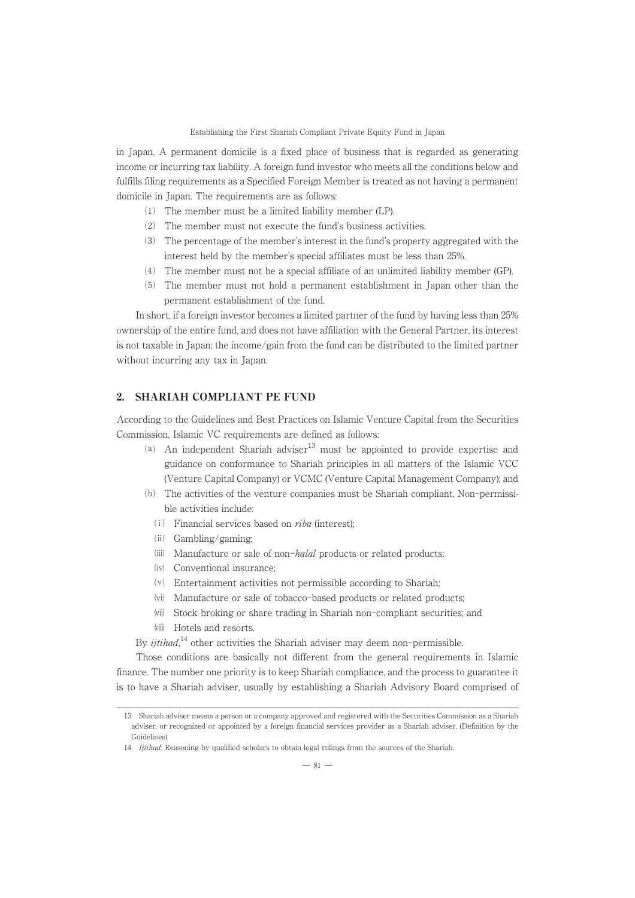in Japan. A permanent domicile is a fixed place of business that is regarded as generating income or incurring tax liability. A foreign fund investor who meets all the conditions below and fulfills filing requirements as a Specified Foreign Member is treated as not having a permanent domicile in Japan. The requirements are as follows:

- ⑴ The member must be a limited liability member (LP).
- ⑵ The member must not execute the fund's business activities.
- ⑶ The percentage of the member's interest in the fund's property aggregated with the interest held by the member's special affiliates must be less than 25%.
- ⑷ The member must not be a special affiliate of an unlimited liability member (GP).
- ⑸ The member must not hold a permanent establishment in Japan other than the permanent establishment of the fund.

In short, if a foreign investor becomes a limited partner of the fund by having less than 25% ownership of the entire fund, and does not have affiliation with the General Partner, its interest is not taxable in Japan; the income/gain from the fund can be distributed to the limited partner without incurring any tax in Japan.

#### 2. SHARIAH COMPLIANT PE FUND

According to the Guidelines and Best Practices on Islamic Venture Capital from the Securities Commission, Islamic VC requirements are defined as follows:

- (a) An independent Shariah adviser $13$  must be appointed to provide expertise and guidance on conformance to Shariah principles in all matters of the Islamic VCC (Venture Capital Company) or VCMC (Venture Capital Management Company); and
- ⒝ The activities of the venture companies must be Shariah compliant, Non-permissible activities include:
	- $(i)$  Financial services based on *riba* (interest);
	- $(iii)$  Gambling/gaming;
	- $(iii)$  Manufacture or sale of non-*halal* products or related products;
	- . Conventional insurance;
	- / Entertainment activities not permissible according to Shariah;
	- (vi) Manufacture or sale of tobacco-based products or related products;
	- 1 Stock broking or share trading in Shariah non-compliant securities; and
	- (viii) Hotels and resorts.

By *ijtihad*,<sup>14</sup> other activities the Shariah adviser may deem non-permissible.

Those conditions are basically not different from the general requirements in Islamic finance. The number one priority is to keep Shariah compliance, and the process to guarantee it is to have a Shariah adviser, usually by establishing a Shariah Advisory Board comprised of

<sup>13</sup> Shariah adviser means a person or a company approved and registered with the Securities Commission as a Shariah adviser, or recognized or appointed by a foreign financial services provider as a Shariah adviser. (Definition by the Guidelines)

<sup>14</sup> *Ijtihad*: Reasoning by qualified scholars to obtain legal rulings from the sources of the Shariah.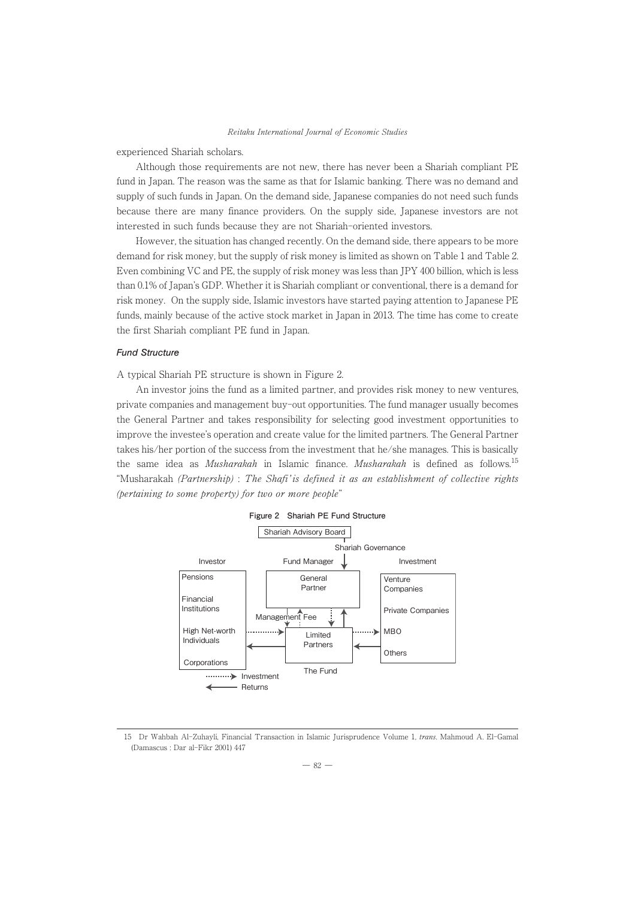experienced Shariah scholars.

Although those requirements are not new, there has never been a Shariah compliant PE fund in Japan. The reason was the same as that for Islamic banking. There was no demand and supply of such funds in Japan. On the demand side, Japanese companies do not need such funds because there are many finance providers. On the supply side, Japanese investors are not interested in such funds because they are not Shariah-oriented investors.

However, the situation has changed recently. On the demand side, there appears to be more demand for risk money, but the supply of risk money is limited as shown on Table 1 and Table 2. Even combining VC and PE, the supply of risk money was less than JPY 400 billion, which is less than 0.1% of Japan's GDP. Whether it is Shariah compliant or conventional, there is a demand for risk money. On the supply side, Islamic investors have started paying attention to Japanese PE funds, mainly because of the active stock market in Japan in 2013. The time has come to create the first Shariah compliant PE fund in Japan.

#### **Fund Structure**

A typical Shariah PE structure is shown in Figure 2.

An investor joins the fund as a limited partner, and provides risk money to new ventures, private companies and management buy-out opportunities. The fund manager usually becomes the General Partner and takes responsibility for selecting good investment opportunities to improve the investee's operation and create value for the limited partners. The General Partner takes his/her portion of the success from the investment that he/she manages. This is basically the same idea as *Musharakah* in Islamic finance. *Musharakah* is defined as follows.<sup>15</sup> "Musharakah (Partnership) : The Shafi' is defined it as an establishment of collective rights (pertaining to some property) for two or more people"



<sup>15</sup> Dr Wahbah Al-Zuhayli, Financial Transaction in Islamic Jurisprudence Volume 1, trans. Mahmoud A. El-Gamal (Damascus : Dar al-Fikr 2001) 447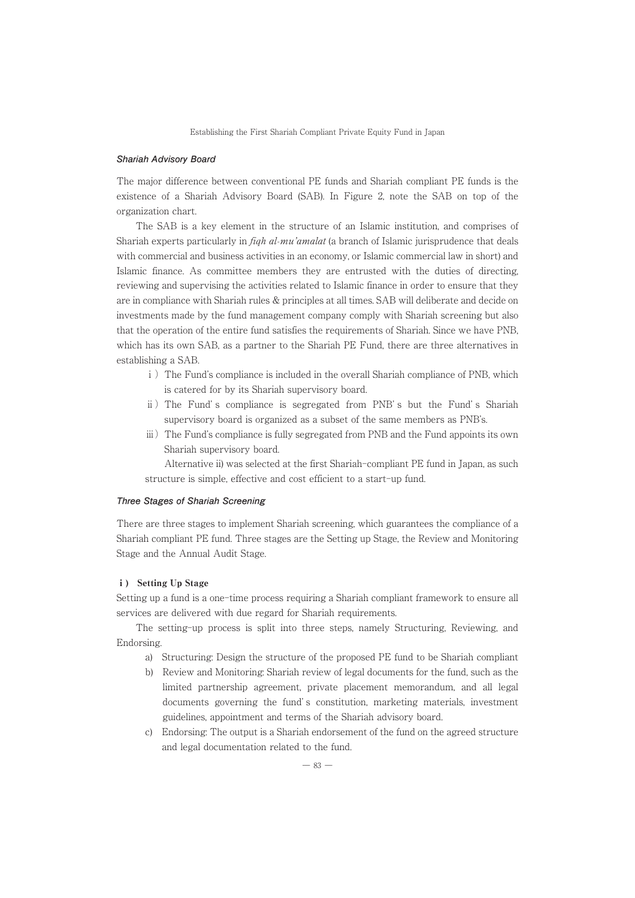#### **Shariah Advisory Board**

The major difference between conventional PE funds and Shariah compliant PE funds is the existence of a Shariah Advisory Board (SAB). In Figure 2, note the SAB on top of the organization chart.

The SAB is a key element in the structure of an Islamic institution, and comprises of Shariah experts particularly in *figh al-mu'amalat* (a branch of Islamic jurisprudence that deals with commercial and business activities in an economy, or Islamic commercial law in short) and Islamic finance. As committee members they are entrusted with the duties of directing, reviewing and supervising the activities related to Islamic finance in order to ensure that they are in compliance with Shariah rules & principles at all times. SAB will deliberate and decide on investments made by the fund management company comply with Shariah screening but also that the operation of the entire fund satisfies the requirements of Shariah. Since we have PNB, which has its own SAB, as a partner to the Shariah PE Fund, there are three alternatives in establishing a SAB.

- i) The Fund's compliance is included in the overall Shariah compliance of PNB, which is catered for by its Shariah supervisory board.
- ⅱ)The Fund' s compliance is segregated from PNB' s but the Fund' s Shariah supervisory board is organized as a subset of the same members as PNB's.
- iii) The Fund's compliance is fully segregated from PNB and the Fund appoints its own Shariah supervisory board.

Alternative ii) was selected at the first Shariah-compliant PE fund in Japan, as such structure is simple, effective and cost efficient to a start-up fund.

#### **Three Stages of Shariah Screening**

There are three stages to implement Shariah screening, which guarantees the compliance of a Shariah compliant PEfund. Three stages are the Setting up Stage, the Review and Monitoring Stage and the Annual Audit Stage.

#### i) Setting Up Stage

Setting up a fund is a one-time process requiring a Shariah compliant framework to ensure all services are delivered with due regard for Shariah requirements.

The setting-up process is split into three steps, namely Structuring, Reviewing, and Endorsing.

- a) Structuring: Design the structure of the proposed PE fund to be Shariah compliant
- b) Review and Monitoring: Shariah review of legal documents for the fund, such as the limited partnership agreement, private placement memorandum, and all legal documents governing the fund' s constitution, marketing materials, investment guidelines, appointment and terms of the Shariah advisory board.
- c) Endorsing: The output is a Shariah endorsement of the fund on the agreed structure and legal documentation related to the fund.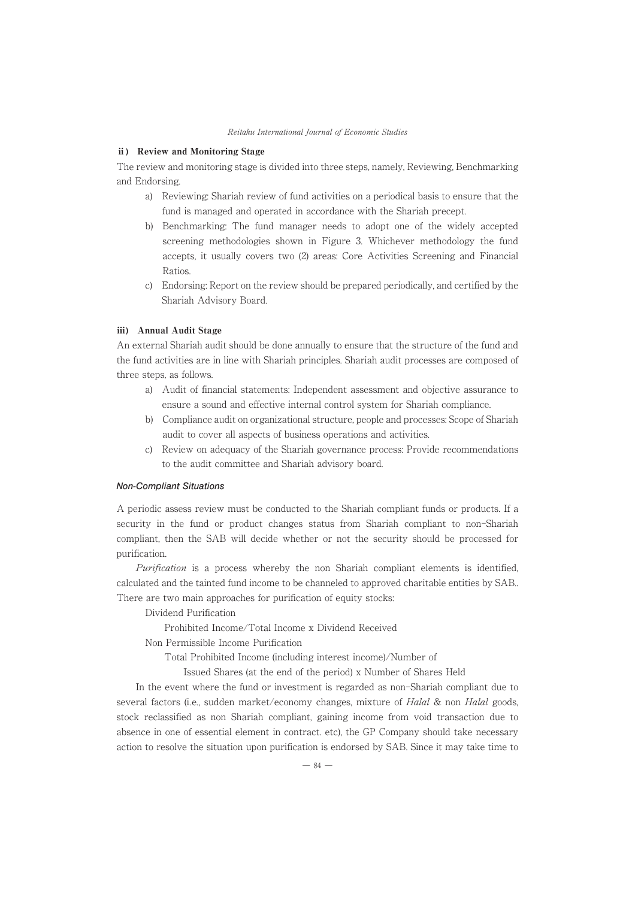#### ⅱ) Review and Monitoring Stage

The review and monitoring stage is divided into three steps, namely, Reviewing, Benchmarking and Endorsing.

- a) Reviewing: Shariah review of fund activities on a periodical basis to ensure that the fund is managed and operated in accordance with the Shariah precept.
- b) Benchmarking: The fund manager needs to adopt one of the widely accepted screening methodologies shown in Figure 3. Whichever methodology the fund accepts, it usually covers two (2) areas: Core Activities Screening and Financial Ratios.
- c) Endorsing: Report on the review should be prepared periodically, and certified by the Shariah Advisory Board.

#### ⅲ) Annual Audit Stage

An external Shariah audit should be done annually to ensure that the structure of the fund and the fund activities are in line with Shariah principles. Shariah audit processes are composed of three steps, as follows.

- a) Audit of financial statements: Independent assessment and objective assurance to ensure a sound and effective internal control system for Shariah compliance.
- b) Compliance audit on organizational structure, people and processes: Scope of Shariah audit to cover all aspects of business operations and activities.
- c) Review on adequacy of the Shariah governance process: Provide recommendations to the audit committee and Shariah advisory board.

#### **Non-Compliant Situations**

A periodic assess review must be conducted to the Shariah compliant funds or products. If a security in the fund or product changes status from Shariah compliant to non-Shariah compliant, then the SAB will decide whether or not the security should be processed for purification.

Purification is a process whereby the non Shariah compliant elements is identified, calculated and the tainted fund income to be channeled to approved charitable entities by SAB.. There are two main approaches for purification of equity stocks:

Dividend Purification

Prohibited Income/Total Income x Dividend Received

Non Permissible Income Purification

Total Prohibited Income (including interest income)/Number of

Issued Shares (at the end of the period) x Number of Shares Held

In the event where the fund or investment is regarded as non-Shariah compliant due to several factors (i.e., sudden market/economy changes, mixture of *Halal &* non *Halal* goods, stock reclassified as non Shariah compliant, gaining income from void transaction due to absence in one of essential element in contract. etc), the GP Company should take necessary action to resolve the situation upon purification is endorsed by SAB. Since it may take time to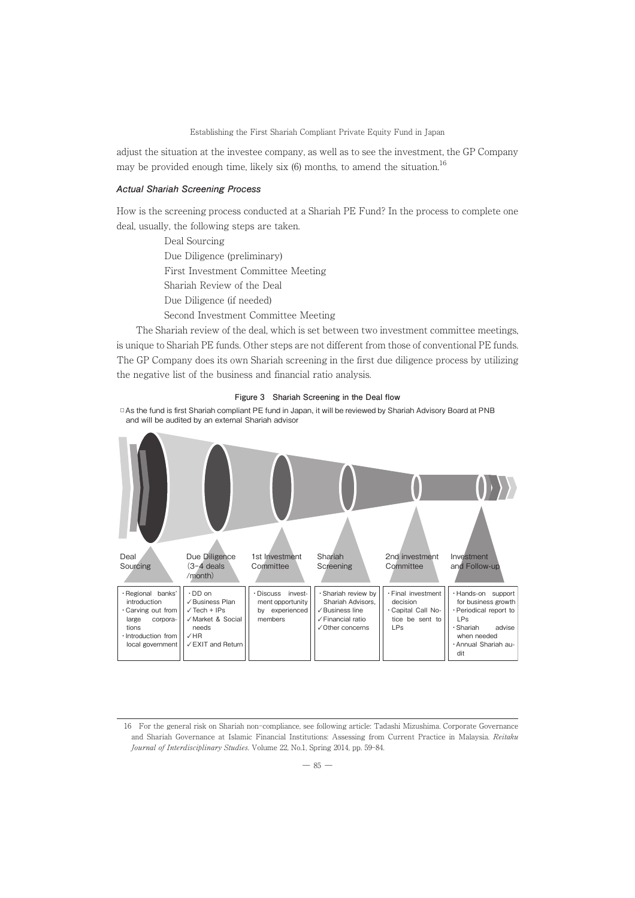adjust the situation at the investee company, as well as to see the investment, the GP Company may be provided enough time, likely six  $(6)$  months, to amend the situation.<sup>16</sup>

# **Actual Shariah Screening Process**

How is the screening process conducted at a Shariah PE Fund? In the process to complete one deal, usually, the following steps are taken.

> Deal Sourcing Due Diligence (preliminary) First Investment Committee Meeting Shariah Review of the Deal Due Diligence (if needed) Second Investment Committee Meeting

The Shariah review of the deal, which is set between two investment committee meetings, is unique to Shariah PE funds. Other steps are not different from those of conventional PE funds. The GP Company does its own Shariah screening in the first due diligence process by utilizing the negative list of the business and financial ratio analysis.



**□**As the fund is first Shariah compliant PE fund in Japan, it will be reviewed by Shariah Advisory Board at PNB and will be audited by an external Shariah advisor



<sup>16</sup> For the general risk on Shariah non-compliance, see following article: Tadashi Mizushima. Corporate Governance and Shariah Governance at Islamic Financial Institutions: Assessing from Current Practice in Malaysia. Reitaku Journal of Interdisciplinary Studies. Volume 22, No.1, Spring 2014, pp. 59-84.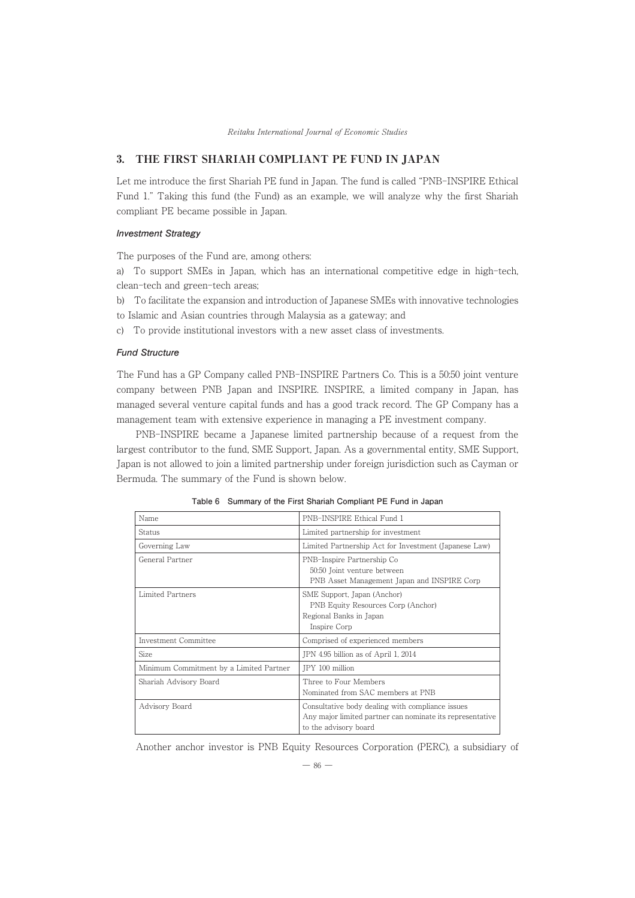# 3. THE FIRST SHARIAH COMPLIANT PE FUND IN JAPAN

Let me introduce the first Shariah PE fund in Japan. The fund is called "PNB-INSPIRE Ethical Fund 1." Taking this fund (the Fund) as an example, we will analyze why the first Shariah compliant PE became possible in Japan.

#### **Investment Strategy**

The purposes of the Fund are, among others:

a) To support SMEs in Japan, which has an international competitive edge in high-tech, clean-tech and green-tech areas;

b) To facilitate the expansion and introduction of Japanese SMEs with innovative technologies

to Islamic and Asian countries through Malaysia as a gateway; and

c) To provide institutional investors with a new asset class of investments.

#### **Fund Structure**

The Fund has a GP Company called PNB-INSPIRE Partners Co. This is a 50:50 joint venture company between PNB Japan and INSPIRE. INSPIRE, a limited company in Japan, has managed several venture capital funds and has a good track record. The GP Company has a management team with extensive experience in managing a PE investment company.

PNB-INSPIRE became a Japanese limited partnership because of a request from the largest contributor to the fund, SME Support, Japan. As a governmental entity, SME Support, Japan is not allowed to join a limited partnership under foreign jurisdiction such as Cayman or Bermuda. The summary of the Fund is shown below.

| Name                                    | PNB-INSPIRE Ethical Fund 1                                                                                                             |
|-----------------------------------------|----------------------------------------------------------------------------------------------------------------------------------------|
| Status                                  | Limited partnership for investment                                                                                                     |
| Governing Law                           | Limited Partnership Act for Investment (Japanese Law)                                                                                  |
| General Partner                         | PNB-Inspire Partnership Co<br>50:50 Joint venture between<br>PNB Asset Management Japan and INSPIRE Corp                               |
| Limited Partners                        | SME Support, Japan (Anchor)<br>PNB Equity Resources Corp (Anchor)<br>Regional Banks in Japan<br>Inspire Corp                           |
| Investment Committee                    | Comprised of experienced members                                                                                                       |
| Size                                    | JPN 4.95 billion as of April 1, 2014                                                                                                   |
| Minimum Commitment by a Limited Partner | JPY 100 million                                                                                                                        |
| Shariah Advisory Board                  | Three to Four Members<br>Nominated from SAC members at PNB                                                                             |
| Advisory Board                          | Consultative body dealing with compliance issues<br>Any major limited partner can nominate its representative<br>to the advisory board |

**Table 6 Summary of the First Shariah Compliant PE Fund in Japan**

Another anchor investor is PNB Equity Resources Corporation (PERC), a subsidiary of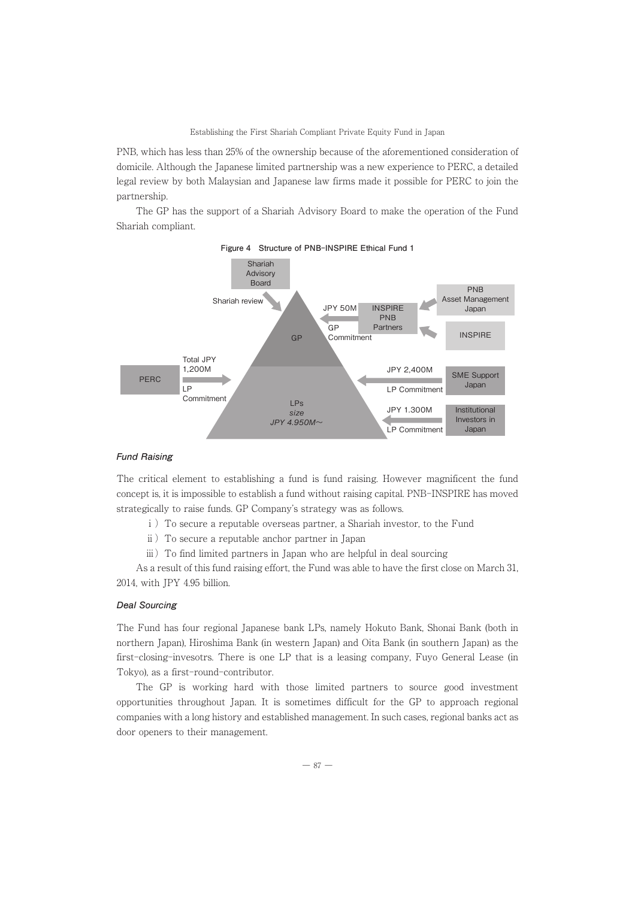PNB, which has less than 25% of the ownership because of the aforementioned consideration of domicile. Although the Japanese limited partnership was a new experience to PERC, a detailed legal review by both Malaysian and Japanese law firms made it possible for PERC to join the partnership.

The GP has the support of a Shariah Advisory Board to make the operation of the Fund Shariah compliant.





#### **Fund Raising**

The critical element to establishing a fund is fund raising. However magnificent the fund concept is, it is impossible to establish a fund without raising capital. PNB-INSPIRE has moved strategically to raise funds. GP Company's strategy was as follows.

- ⅰ)To secure a reputable overseas partner, a Shariah investor, to the Fund
- ⅱ)To secure a reputable anchor partner in Japan
- iii) To find limited partners in Japan who are helpful in deal sourcing

As a result of this fund raising effort, the Fund was able to have the first close on March 31, 2014, with JPY 4.95 billion.

# **Deal Sourcing**

The Fund has four regional Japanese bank LPs, namely Hokuto Bank, Shonai Bank (both in northern Japan), Hiroshima Bank (in western Japan) and Oita Bank (in southern Japan) as the first-closing-invesotrs. There is one LP that is a leasing company, Fuyo General Lease (in Tokyo), as a first-round-contributor.

The GP is working hard with those limited partners to source good investment opportunities throughout Japan. It is sometimes difficult for the GP to approach regional companies with a long history and established management. In such cases, regional banks act as door openers to their management.

 $-87-$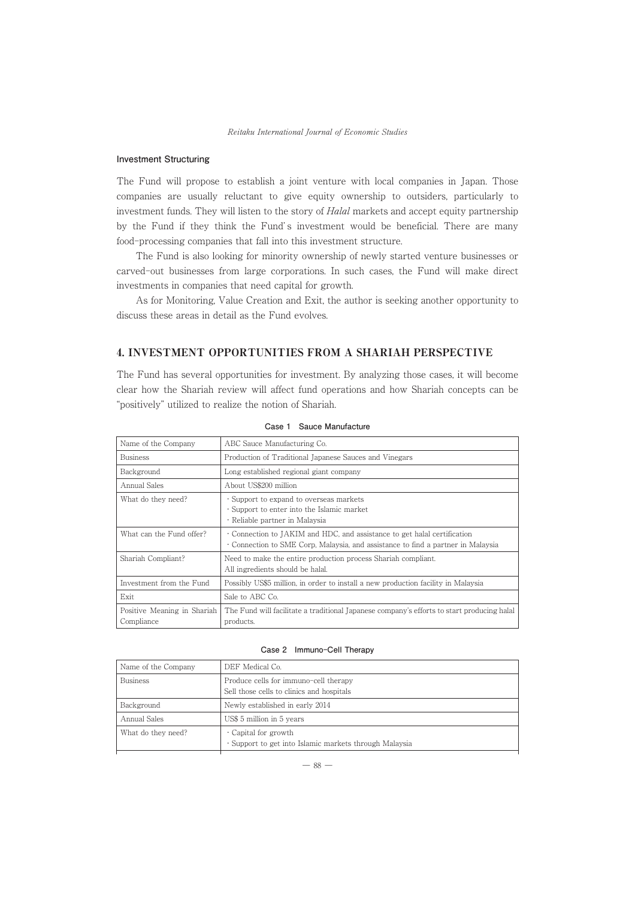# **Investment Structuring**

The Fund will propose to establish a joint venture with local companies in Japan. Those companies are usually reluctant to give equity ownership to outsiders, particularly to investment funds. They will listen to the story of Halal markets and accept equity partnership by the Fund if they think the Fund's investment would be beneficial. There are many food-processing companies that fall into this investment structure.

The Fund is also looking for minority ownership of newly started venture businesses or carved-out businesses from large corporations. In such cases, the Fund will make direct investments in companies that need capital for growth.

As for Monitoring, Value Creation and Exit, the author is seeking another opportunity to discuss these areas in detail as the Fund evolves.

# 4. INVESTMENT OPPORTUNITIES FROM A SHARIAH PERSPECTIVE

The Fund has several opportunities for investment. By analyzing those cases, it will become clear how the Shariah review will affect fund operations and how Shariah concepts can be "positively" utilized to realize the notion of Shariah.

| Name of the Company                       | ABC Sauce Manufacturing Co.                                                                                                                                  |
|-------------------------------------------|--------------------------------------------------------------------------------------------------------------------------------------------------------------|
| <b>Business</b>                           | Production of Traditional Japanese Sauces and Vinegars                                                                                                       |
| Background                                | Long established regional giant company                                                                                                                      |
| Annual Sales                              | About US\$200 million                                                                                                                                        |
| What do they need?                        | · Support to expand to overseas markets<br>· Support to enter into the Islamic market<br>· Reliable partner in Malaysia                                      |
| What can the Fund offer?                  | • Connection to JAKIM and HDC, and assistance to get halal certification<br>• Connection to SME Corp, Malaysia, and assistance to find a partner in Malaysia |
| Shariah Compliant?                        | Need to make the entire production process Shariah compliant.<br>All ingredients should be halal.                                                            |
| Investment from the Fund                  | Possibly US\$5 million, in order to install a new production facility in Malaysia                                                                            |
| Exit                                      | Sale to ABC Co.                                                                                                                                              |
| Positive Meaning in Shariah<br>Compliance | The Fund will facilitate a traditional Japanese company's efforts to start producing halal<br>products.                                                      |

**Case 1 Sauce Manufacture**

#### Case 2 Immuno-Cell Therapy

| Name of the Company | DEF Medical Co.                                                                    |
|---------------------|------------------------------------------------------------------------------------|
| <b>Business</b>     | Produce cells for immuno-cell therapy<br>Sell those cells to clinics and hospitals |
|                     |                                                                                    |
| Background          | Newly established in early 2014                                                    |
| Annual Sales        | US\$ 5 million in 5 years                                                          |
| What do they need?  | Capital for growth<br>· Support to get into Islamic markets through Malaysia       |
|                     |                                                                                    |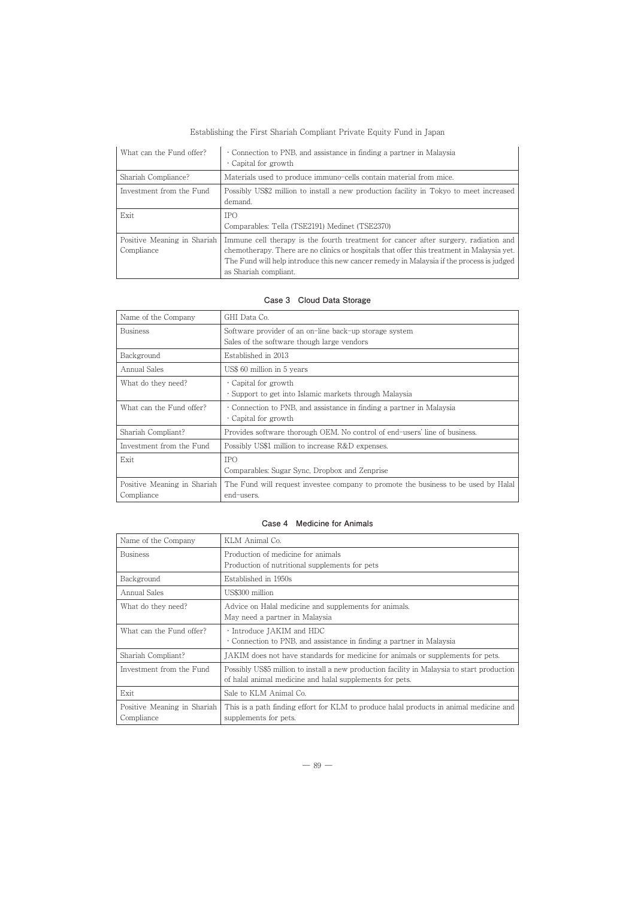| What can the Fund offer?                  | • Connection to PNB, and assistance in finding a partner in Malaysia<br>Capital for growth                                                                                                                                                                                                             |
|-------------------------------------------|--------------------------------------------------------------------------------------------------------------------------------------------------------------------------------------------------------------------------------------------------------------------------------------------------------|
| Shariah Compliance?                       | Materials used to produce immuno-cells contain material from mice.                                                                                                                                                                                                                                     |
| Investment from the Fund                  | Possibly US\$2 million to install a new production facility in Tokyo to meet increased<br>demand.                                                                                                                                                                                                      |
| Exit                                      | <b>IPO</b><br>Comparables: Tella (TSE2191) Medinet (TSE2370)                                                                                                                                                                                                                                           |
| Positive Meaning in Shariah<br>Compliance | Immune cell therapy is the fourth treatment for cancer after surgery, radiation and<br>chemotherapy. There are no clinics or hospitals that offer this treatment in Malaysia yet.<br>The Fund will help introduce this new cancer remedy in Malaysia if the process is judged<br>as Shariah compliant. |

## **Case 3 Cloud Data Storage**

| Name of the Company                       | GHI Data Co.                                                                                         |
|-------------------------------------------|------------------------------------------------------------------------------------------------------|
| <b>Business</b>                           | Software provider of an on-line back-up storage system<br>Sales of the software though large vendors |
| Background                                | Established in 2013                                                                                  |
| Annual Sales                              | US\$ 60 million in 5 years                                                                           |
| What do they need?                        | Capital for growth<br>· Support to get into Islamic markets through Malaysia                         |
| What can the Fund offer?                  | Connection to PNB, and assistance in finding a partner in Malaysia<br>Capital for growth             |
| Shariah Compliant?                        | Provides software thorough OEM. No control of end-users' line of business.                           |
| Investment from the Fund                  | Possibly US\$1 million to increase R&D expenses.                                                     |
| Exit                                      | <b>IPO</b><br>Comparables: Sugar Sync, Dropbox and Zenprise                                          |
| Positive Meaning in Shariah<br>Compliance | The Fund will request investee company to promote the business to be used by Halal<br>end-users.     |

## **Case 4 Medicine for Animals**

| Name of the Company                       | KLM Animal Co.                                                                                                  |
|-------------------------------------------|-----------------------------------------------------------------------------------------------------------------|
| <b>Business</b>                           | Production of medicine for animals                                                                              |
|                                           | Production of nutritional supplements for pets                                                                  |
| Background                                | Established in 1950s                                                                                            |
| Annual Sales                              | US\$300 million                                                                                                 |
| What do they need?                        | Advice on Halal medicine and supplements for animals.                                                           |
|                                           | May need a partner in Malaysia                                                                                  |
| What can the Fund offer?                  | · Introduce JAKIM and HDC                                                                                       |
|                                           | • Connection to PNB, and assistance in finding a partner in Malaysia                                            |
| Shariah Compliant?                        | JAKIM does not have standards for medicine for animals or supplements for pets.                                 |
| Investment from the Fund                  | Possibly US\$5 million to install a new production facility in Malaysia to start production                     |
|                                           | of halal animal medicine and halal supplements for pets.                                                        |
| Exit                                      | Sale to KLM Animal Co.                                                                                          |
| Positive Meaning in Shariah<br>Compliance | This is a path finding effort for KLM to produce halal products in animal medicine and<br>supplements for pets. |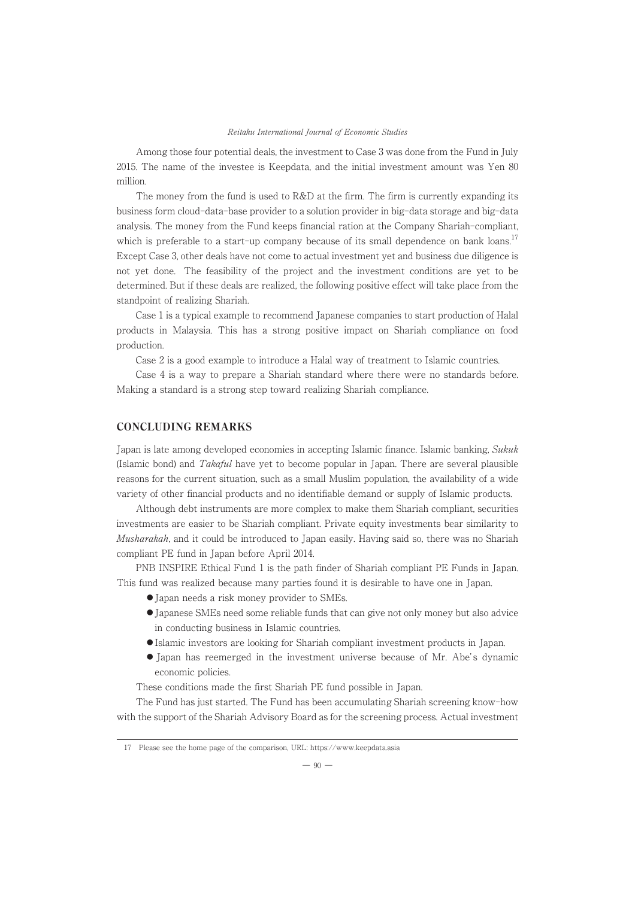Among those four potential deals, the investment to Case 3 was done from the Fund in July 2015. The name of the investee is Keepdata, and the initial investment amount was Yen 80 million.

The money from the fund is used to R&D at the firm. The firm is currently expanding its business form cloud-data-base provider to a solution provider in big-data storage and big-data analysis. The money from the Fund keeps financial ration at the Company Shariah-compliant, which is preferable to a start-up company because of its small dependence on bank loans.<sup>17</sup> Except Case 3, other deals have not come to actual investment yet and business due diligence is not yet done. The feasibility of the project and the investment conditions are yet to be determined. But if these deals are realized, the following positive effect will take place from the standpoint of realizing Shariah.

Case 1 is a typical example to recommend Japanese companies to start production of Halal products in Malaysia. This has a strong positive impact on Shariah compliance on food production.

Case 2 is a good example to introduce a Halal way of treatment to Islamic countries.

Case 4 is a way to prepare a Shariah standard where there were no standards before. Making a standard is a strong step toward realizing Shariah compliance.

# CONCLUDING REMARKS

Japan is late among developed economies in accepting Islamic finance. Islamic banking, Sukuk (Islamic bond) and Takaful have yet to become popular in Japan. There are several plausible reasons for the current situation, such as a small Muslim population, the availability of a wide variety of other financial products and no identifiable demand or supply of Islamic products.

Although debt instruments are more complex to make them Shariah compliant, securities investments are easier to be Shariah compliant. Private equity investments bear similarity to Musharakah, and it could be introduced to Japan easily. Having said so, there was no Shariah compliant PE fund in Japan before April 2014.

PNB INSPIRE Ethical Fund 1 is the path finder of Shariah compliant PE Funds in Japan. This fund was realized because many parties found it is desirable to have one in Japan.

- Japan needs a risk money provider to SMEs.
- ;Japanese SMEs need some reliable funds that can give not only money but also advice in conducting business in Islamic countries.
- ;Islamic investors are looking for Shariah compliant investment products in Japan.
- Japan has reemerged in the investment universe because of Mr. Abe's dynamic economic policies.

These conditions made the first Shariah PE fund possible in Japan.

The Fund has just started. The Fund has been accumulating Shariah screening know-how with the support of the Shariah Advisory Board as for the screening process. Actual investment

<sup>17</sup> Please see the home page of the comparison, URL: https://www.keepdata.asia